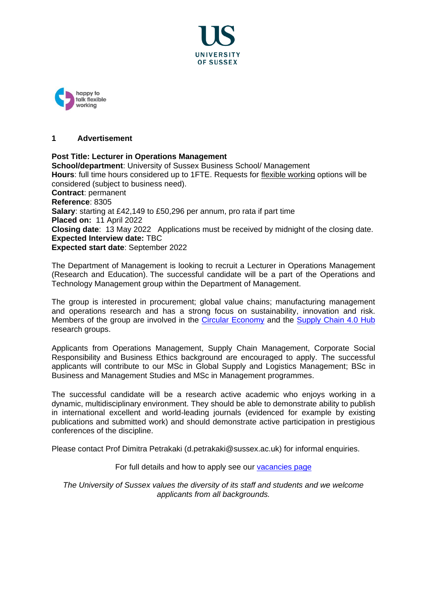



### **1 Advertisement**

## **Post Title: Lecturer in Operations Management**

**School/department**: University of Sussex Business School/ Management **Hours**: full time hours considered up to 1FTE. Requests for [flexible working](http://www.sussex.ac.uk/humanresources/personnel/flexible-working) options will be considered (subject to business need). **Contract**: permanent **Reference**: 8305 **Salary**: starting at £42,149 to £50,296 per annum, pro rata if part time **Placed on:** 11 April 2022 **Closing date**: 13 May 2022 Applications must be received by midnight of the closing date. **Expected Interview date:** TBC **Expected start date**: September 2022

The Department of Management is looking to recruit a Lecturer in Operations Management (Research and Education). The successful candidate will be a part of the Operations and Technology Management group within the Department of Management.

The group is interested in procurement; global value chains; manufacturing management and operations research and has a strong focus on sustainability, innovation and risk. Members of the group are involved in the [Circular Economy](https://www.sussex.ac.uk/business-school/research/impact/circular-economy) and the [Supply Chain](https://www.sussex.ac.uk/business-school/research/impact/supply-chain) 4.0 Hub research groups.

Applicants from Operations Management, Supply Chain Management, Corporate Social Responsibility and Business Ethics background are encouraged to apply. The successful applicants will contribute to our MSc in Global Supply and Logistics Management; BSc in Business and Management Studies and MSc in Management programmes.

The successful candidate will be a research active academic who enjoys working in a dynamic, multidisciplinary environment. They should be able to demonstrate ability to publish in international excellent and world-leading journals (evidenced for example by existing publications and submitted work) and should demonstrate active participation in prestigious conferences of the discipline.

Please contact Prof Dimitra Petrakaki (d.petrakaki@sussex.ac.uk) for informal enquiries.

For full details and how to apply see our vacancies page

*The University of Sussex values the diversity of its staff and students and we welcome applicants from all backgrounds.*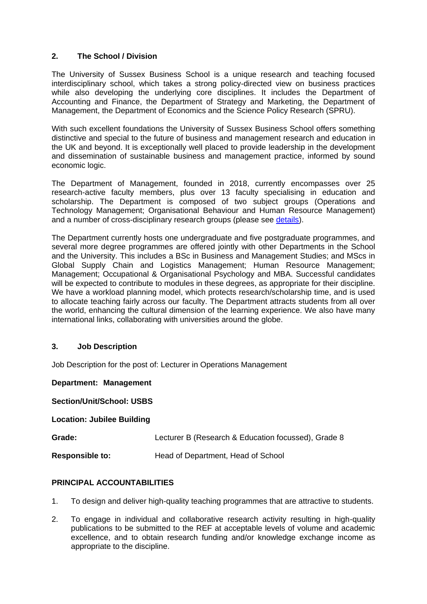## **2. The School / Division**

The University of Sussex Business School is a unique research and teaching focused interdisciplinary school, which takes a strong policy-directed view on business practices while also developing the underlying core disciplines. It includes the Department of Accounting and Finance, the Department of Strategy and Marketing, the Department of Management, the Department of Economics and the Science Policy Research (SPRU).

With such excellent foundations the University of Sussex Business School offers something distinctive and special to the future of business and management research and education in the UK and beyond. It is exceptionally well placed to provide leadership in the development and dissemination of sustainable business and management practice, informed by sound economic logic.

The Department of Management, founded in 2018, currently encompasses over 25 research-active faculty members, plus over 13 faculty specialising in education and scholarship. The Department is composed of two subject groups (Operations and Technology Management; Organisational Behaviour and Human Resource Management) and a number of cross-disciplinary research groups (please see [details\)](https://www.sussex.ac.uk/business-school/management/research).

The Department currently hosts one undergraduate and five postgraduate programmes, and several more degree programmes are offered jointly with other Departments in the School and the University. This includes a BSc in Business and Management Studies; and MScs in Global Supply Chain and Logistics Management; Human Resource Management; Management; Occupational & Organisational Psychology and MBA. Successful candidates will be expected to contribute to modules in these degrees, as appropriate for their discipline. We have a workload planning model, which protects research/scholarship time, and is used to allocate teaching fairly across our faculty. The Department attracts students from all over the world, enhancing the cultural dimension of the learning experience. We also have many international links, collaborating with universities around the globe.

## **3. Job Description**

Job Description for the post of: Lecturer in Operations Management

**Department: Management**

**Section/Unit/School: USBS**

#### **Location: Jubilee Building**

| Grade:                 | Lecturer B (Research & Education focussed), Grade 8 |
|------------------------|-----------------------------------------------------|
| <b>Responsible to:</b> | Head of Department, Head of School                  |

## **PRINCIPAL ACCOUNTABILITIES**

- 1. To design and deliver high-quality teaching programmes that are attractive to students.
- 2. To engage in individual and collaborative research activity resulting in high-quality publications to be submitted to the REF at acceptable levels of volume and academic excellence, and to obtain research funding and/or knowledge exchange income as appropriate to the discipline.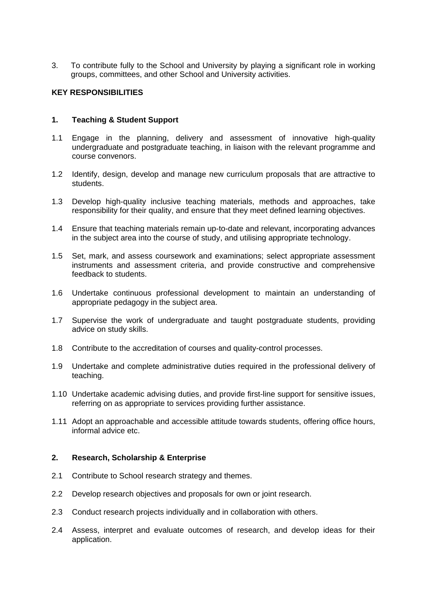3. To contribute fully to the School and University by playing a significant role in working groups, committees, and other School and University activities.

### **KEY RESPONSIBILITIES**

### **1. Teaching & Student Support**

- 1.1 Engage in the planning, delivery and assessment of innovative high-quality undergraduate and postgraduate teaching, in liaison with the relevant programme and course convenors.
- 1.2 Identify, design, develop and manage new curriculum proposals that are attractive to students.
- 1.3 Develop high-quality inclusive teaching materials, methods and approaches, take responsibility for their quality, and ensure that they meet defined learning objectives.
- 1.4 Ensure that teaching materials remain up-to-date and relevant, incorporating advances in the subject area into the course of study, and utilising appropriate technology.
- 1.5 Set, mark, and assess coursework and examinations; select appropriate assessment instruments and assessment criteria, and provide constructive and comprehensive feedback to students.
- 1.6 Undertake continuous professional development to maintain an understanding of appropriate pedagogy in the subject area.
- 1.7 Supervise the work of undergraduate and taught postgraduate students, providing advice on study skills.
- 1.8 Contribute to the accreditation of courses and quality-control processes.
- 1.9 Undertake and complete administrative duties required in the professional delivery of teaching.
- 1.10 Undertake academic advising duties, and provide first-line support for sensitive issues, referring on as appropriate to services providing further assistance.
- 1.11 Adopt an approachable and accessible attitude towards students, offering office hours, informal advice etc.

#### **2. Research, Scholarship & Enterprise**

- 2.1 Contribute to School research strategy and themes.
- 2.2 Develop research objectives and proposals for own or joint research.
- 2.3 Conduct research projects individually and in collaboration with others.
- 2.4 Assess, interpret and evaluate outcomes of research, and develop ideas for their application.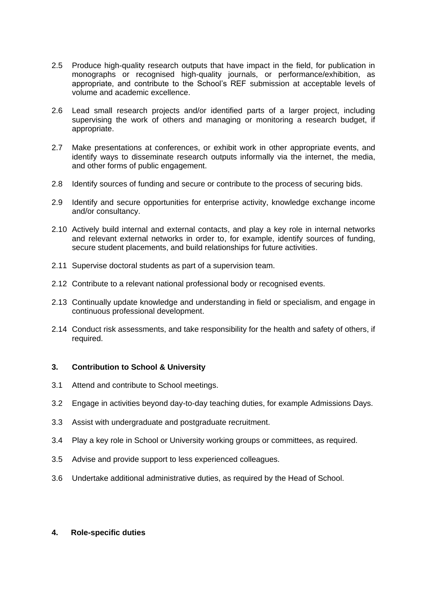- 2.5 Produce high-quality research outputs that have impact in the field, for publication in monographs or recognised high-quality journals, or performance/exhibition, as appropriate, and contribute to the School's REF submission at acceptable levels of volume and academic excellence.
- 2.6 Lead small research projects and/or identified parts of a larger project, including supervising the work of others and managing or monitoring a research budget, if appropriate.
- 2.7 Make presentations at conferences, or exhibit work in other appropriate events, and identify ways to disseminate research outputs informally via the internet, the media, and other forms of public engagement.
- 2.8 Identify sources of funding and secure or contribute to the process of securing bids.
- 2.9 Identify and secure opportunities for enterprise activity, knowledge exchange income and/or consultancy.
- 2.10 Actively build internal and external contacts, and play a key role in internal networks and relevant external networks in order to, for example, identify sources of funding, secure student placements, and build relationships for future activities.
- 2.11 Supervise doctoral students as part of a supervision team.
- 2.12 Contribute to a relevant national professional body or recognised events.
- 2.13 Continually update knowledge and understanding in field or specialism, and engage in continuous professional development.
- 2.14 Conduct risk assessments, and take responsibility for the health and safety of others, if required.

## **3. Contribution to School & University**

- 3.1 Attend and contribute to School meetings.
- 3.2 Engage in activities beyond day-to-day teaching duties, for example Admissions Days.
- 3.3 Assist with undergraduate and postgraduate recruitment.
- 3.4 Play a key role in School or University working groups or committees, as required.
- 3.5 Advise and provide support to less experienced colleagues.
- 3.6 Undertake additional administrative duties, as required by the Head of School.

#### **4. Role-specific duties**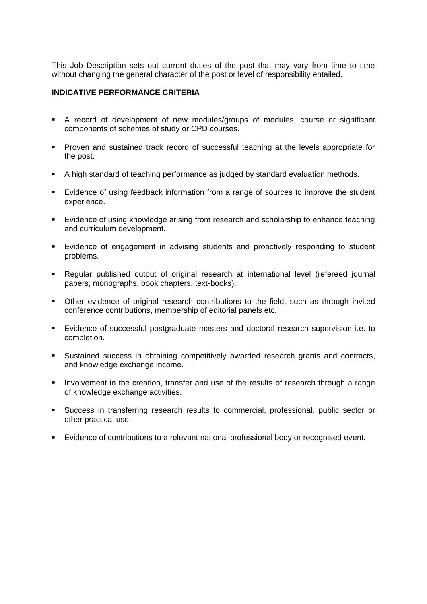This Job Description sets out current duties of the post that may vary from time to time without changing the general character of the post or level of responsibility entailed.

### **INDICATIVE PERFORMANCE CRITERIA**

- A record of development of new modules/groups of modules, course or significant components of schemes of study or CPD courses.
- Proven and sustained track record of successful teaching at the levels appropriate for the post.
- A high standard of teaching performance as judged by standard evaluation methods.
- Evidence of using feedback information from a range of sources to improve the student experience.
- Evidence of using knowledge arising from research and scholarship to enhance teaching and curriculum development.
- **Evidence of engagement in advising students and proactively responding to student** problems.
- **EXEGUIAL PUBLISHED FILM PUBLICE CONTER** PUBLISHER PUBLISHER PUBLISHER PUBLISHER PUBLISHER REGUIDE. **PHOTESHER PUBLISHER PUBLISHER PUBLISHER PUBLISHER PUBLISHER PUBLISHER PUBLISHER PUBLISHER PUBLISHER PUBLISHER PUBLISHER P** papers, monographs, book chapters, text-books).
- Other evidence of original research contributions to the field, such as through invited conference contributions, membership of editorial panels etc.
- Evidence of successful postgraduate masters and doctoral research supervision i.e. to completion.
- Sustained success in obtaining competitively awarded research grants and contracts, and knowledge exchange income.
- Involvement in the creation, transfer and use of the results of research through a range of knowledge exchange activities.
- Success in transferring research results to commercial, professional, public sector or other practical use.
- Evidence of contributions to a relevant national professional body or recognised event.